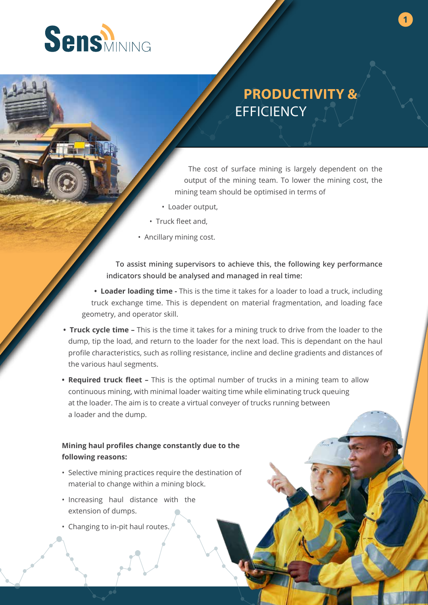

## **PRODUCTIVITY & EFFICIENCY**

**1**

The cost of surface mining is largely dependent on the output of the mining team. To lower the mining cost, the mining team should be optimised in terms of

- Loader output,
- Truck fleet and,
- Ancillary mining cost.

**To assist mining supervisors to achieve this, the following key performance indicators should be analysed and managed in real time:**

**• Loader loading time -** This is the time it takes for a loader to load a truck, including truck exchange time. This is dependent on material fragmentation, and loading face geometry, and operator skill.

- **Truck cycle time –** This is the time it takes for a mining truck to drive from the loader to the dump, tip the load, and return to the loader for the next load. This is dependant on the haul profile characteristics, such as rolling resistance, incline and decline gradients and distances of the various haul segments.
- **Required truck fleet –** This is the optimal number of trucks in a mining team to allow continuous mining, with minimal loader waiting time while eliminating truck queuing at the loader. The aim is to create a virtual conveyer of trucks running between a loader and the dump.

## **Mining haul profiles change constantly due to the following reasons:**

- Selective mining practices require the destination of material to change within a mining block.
- Increasing haul distance with the extension of dumps.
- Changing to in-pit haul routes.